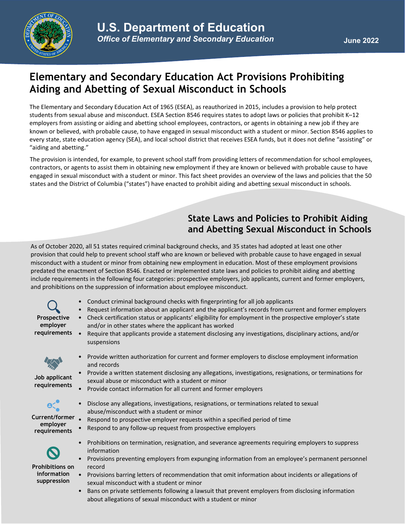

# **Elementary and Secondary Education Act Provisions Prohibiting Aiding and Abetting of Sexual Misconduct in Schools**

The Elementary and Secondary Education Act of 1965 (ESEA), as reauthorized in 2015, includes a provision to help protect students from sexual abuse and misconduct. ESEA Section 8546 requires states to adopt laws or policies that prohibit K–12 employers from assisting or aiding and abetting school employees, contractors, or agents in obtaining a new job if they are known or believed, with probable cause, to have engaged in sexual misconduct with a student or minor. Section 8546 applies to every state, state education agency (SEA), and local school district that receives ESEA funds, but it does not define "assisting" or "aiding and abetting."

The provision is intended, for example, to prevent school staff from providing letters of recommendation for school employees, contractors, or agents to assist them in obtaining new employment if they are known or believed with probable cause to have engaged in sexual misconduct with a student or minor. This fact sheet provides an overview of the laws and policies that the 50 states and the District of Columbia ("states") have enacted to prohibit aiding and abetting sexual misconduct in schools.

### **State Laws and Policies to Prohibit Aiding and Abetting Sexual Misconduct in Schools**

As of October 2020, all 51 states required criminal background checks, and 35 states had adopted at least one other provision that could help to prevent school staff who are known or believed with probable cause to have engaged in sexual misconduct with a student or minor from obtaining new employment in education. Most of these employment provisions predated the enactment of Section 8546. Enacted or implemented state laws and policies to prohibit aiding and abetting include requirements in the following four categories: prospective employers, job applicants, current and former employers, and prohibitions on the suppression of information about employee misconduct.

- Conduct criminal background checks with fingerprinting for all job applicants
- Request information about an applicant and the applicant's records from current and former employers
- Check certification status or applicants' eligibility for employment in the prospective employer's state and/or in other states where the applicant has worked
- Require that applicants provide a statement disclosing any investigations, disciplinary actions, and/or suspensions



**Job applicant requirements**

**Prospective employer requirements**

- Provide written authorization for current and former employers to disclose employment information and records
- Provide a written statement disclosing any allegations, investigations, resignations, or terminations for sexual abuse or misconduct with a student or minor
- Provide contact information for all current and former employers
- Disclose any allegations, investigations, resignations, or terminations related to sexual abuse/misconduct with a student or minor
- Respond to prospective employer requests within a specified period of time **Current/former** 
	- Respond to any follow-up request from prospective employers



**Prohibitions on information suppression**

**employer requirements**

- Prohibitions on termination, resignation, and severance agreements requiring employers to suppress information
- Provisions preventing employers from expunging information from an employee's permanent personnel record
- Provisions barring letters of recommendation that omit information about incidents or allegations of sexual misconduct with a student or minor
- Bans on private settlements following a lawsuit that prevent employers from disclosing information about allegations of sexual misconduct with a student or minor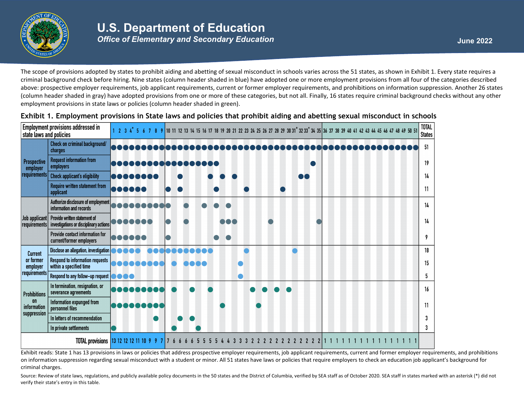

# **U.S. Department of Education**

*Office of Elementary and Secondary Education* **<b>June 2022** *June* 2022

The scope of provisions adopted by states to prohibit aiding and abetting of sexual misconduct in schools varies across the 51 states, as shown in Exhibit 1. Every state requires a criminal background check before hiring. Nine states (column header shaded in blue) have adopted one or more employment provisions from all four of the categories described above: prospective employer requirements, job applicant requirements, current or former employer requirements, and prohibitions on information suppression. Another 26 states (column header shaded in gray) have adopted provisions from one or more of these categories, but not all. Finally, 16 states require criminal background checks without any other employment provisions in state laws or policies (column header shaded in green).

| <b>Employment provisions addressed in</b><br>state laws and policies |                                                                                                       |           |                | 1 2 3 4 5 6 7 8 9 10 11 12 13 14 15 16 17 18 19 20 21 22 23 24 25 26 27 28 29 30 31 32 33 34 35 36 37 38 39 40 41 42 43 44 45 46 47 48 49 50 51 |                 |  |  |  |                |  |                     |  |  |  |  | <b>TOTAL</b><br><b>States</b> |
|----------------------------------------------------------------------|-------------------------------------------------------------------------------------------------------|-----------|----------------|-------------------------------------------------------------------------------------------------------------------------------------------------|-----------------|--|--|--|----------------|--|---------------------|--|--|--|--|-------------------------------|
| Prospective<br>employer<br>requirements                              | Check on criminal background/<br>charges                                                              |           |                |                                                                                                                                                 |                 |  |  |  |                |  |                     |  |  |  |  | 51                            |
|                                                                      | <b>Request information from</b><br>employers                                                          |           |                |                                                                                                                                                 | 3 8 8 8 8 8 8 1 |  |  |  |                |  |                     |  |  |  |  | 19                            |
|                                                                      | <b>Check applicant's eligibility</b>                                                                  | .         |                |                                                                                                                                                 |                 |  |  |  |                |  |                     |  |  |  |  | 14                            |
|                                                                      | <b>Require written statement from</b><br>applicant                                                    | 000000    |                |                                                                                                                                                 |                 |  |  |  |                |  |                     |  |  |  |  | 11                            |
|                                                                      | Authorize disclosure of employment<br>information and records                                         |           |                |                                                                                                                                                 |                 |  |  |  |                |  |                     |  |  |  |  | 14                            |
|                                                                      | Job applicant   Provide written statement of<br>requirements   investigations or disciplinary actions |           |                |                                                                                                                                                 |                 |  |  |  |                |  |                     |  |  |  |  | 14                            |
|                                                                      | Provide contact information for<br>current/former employers                                           |           |                |                                                                                                                                                 |                 |  |  |  |                |  |                     |  |  |  |  | 9                             |
| Current<br>or former<br>employer<br>  requirements                   | Disclose an allegation, investigation                                                                 | <b>DO</b> |                |                                                                                                                                                 |                 |  |  |  |                |  |                     |  |  |  |  | 18                            |
|                                                                      | <b>Respond to information requests</b><br>within a specified time                                     |           | Maaaaaaa       |                                                                                                                                                 |                 |  |  |  |                |  |                     |  |  |  |  | 15                            |
|                                                                      | Respond to any follow-up request <b>the community</b>                                                 |           |                |                                                                                                                                                 |                 |  |  |  |                |  |                     |  |  |  |  | 5.                            |
| <b>Prohibitions</b><br><b>on</b><br>information<br>suppression       | In termination, resignation, or<br>severance agreements                                               |           | <b>atar ta</b> |                                                                                                                                                 |                 |  |  |  |                |  |                     |  |  |  |  | 16                            |
|                                                                      | Information expunged from<br>personnel files                                                          |           | no o o         |                                                                                                                                                 |                 |  |  |  |                |  |                     |  |  |  |  | 11                            |
|                                                                      | In letters of recommendation                                                                          |           |                |                                                                                                                                                 |                 |  |  |  |                |  |                     |  |  |  |  |                               |
|                                                                      | In private settlements                                                                                |           |                |                                                                                                                                                 |                 |  |  |  |                |  |                     |  |  |  |  | 3                             |
|                                                                      | <b>TOTAL provisions</b>                                                                               |           |                | 13 12 12 12 11 10 9 9 7                                                                                                                         |                 |  |  |  | $\overline{2}$ |  | 2 2 2 2 2 2 2 2 2 2 |  |  |  |  |                               |

**Exhibit 1. Employment provisions in State laws and policies that prohibit aiding and abetting sexual misconduct in schools**

Exhibit reads: State 1 has 13 provisions in laws or policies that address prospective employer requirements, job applicant requirements, current and former employer requirements, and prohibitions on information suppression regarding sexual misconduct with a student or minor. All 51 states have laws or policies that require employers to check an education job applicant's background for criminal charges.

Source: Review of state laws, regulations, and publicly available policy documents in the 50 states and the District of Columbia, verified by SEA staff as of October 2020. SEA staff in states marked with an asterisk (\*) di verify their state's entry in this table.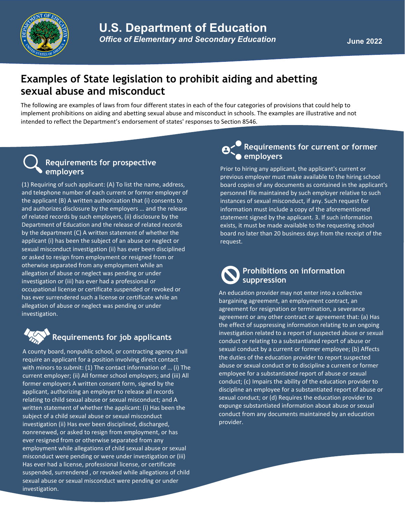

# **Examples of State legislation to prohibit aiding and abetting sexual abuse and misconduct**

The following are examples of laws from four different states in each of the four categories of provisions that could help to implement prohibitions on aiding and abetting sexual abuse and misconduct in schools. The examples are illustrative and not intended to reflect the Department's endorsement of states' responses to Section 8546.

### **Requirements for prospective employers**

(1) Requiring of such applicant: (A) To list the name, address, and telephone number of each current or former employer of the applicant (B) A written authorization that (i) consents to and authorizes disclosure by the employers … and the release of related records by such employers, (ii) disclosure by the Department of Education and the release of related records by the department (C) A written statement of whether the applicant (i) has been the subject of an abuse or neglect or sexual misconduct investigation (ii) has ever been disciplined or asked to resign from employment or resigned from or otherwise separated from any employment while an allegation of abuse or neglect was pending or under investigation or (iii) has ever had a professional or occupational license or certificate suspended or revoked or has ever surrendered such a license or certificate while an allegation of abuse or neglect was pending or under investigation.



# **Requirements for job applicants**

A county board, nonpublic school, or contracting agency shall require an applicant for a position involving direct contact with minors to submit: (1) The contact information of … (i) The current employer; (ii) All former school employers; and (iii) All former employers A written consent form, signed by the applicant, authorizing an employer to release all records relating to child sexual abuse or sexual misconduct; and A written statement of whether the applicant: (i) Has been the subject of a child sexual abuse or sexual misconduct investigation (ii) Has ever been disciplined, discharged, nonrenewed, or asked to resign from employment, or has ever resigned from or otherwise separated from any employment while allegations of child sexual abuse or sexual misconduct were pending or were under investigation or (iii) Has ever had a license, professional license, or certificate suspended, surrendered , or revoked while allegations of child sexual abuse or sexual misconduct were pending or under investigation.

### **Requirements for current or former employers**

Prior to hiring any applicant, the applicant's current or previous employer must make available to the hiring school board copies of any documents as contained in the applicant's personnel file maintained by such employer relative to such instances of sexual misconduct, if any. Such request for information must include a copy of the aforementioned statement signed by the applicant. 3. If such information exists, it must be made available to the requesting school board no later than 20 business days from the receipt of the request.

### **Prohibitions on information suppression**

An education provider may not enter into a collective bargaining agreement, an employment contract, an agreement for resignation or termination, a severance agreement or any other contract or agreement that: (a) Has the effect of suppressing information relating to an ongoing investigation related to a report of suspected abuse or sexual conduct or relating to a substantiated report of abuse or sexual conduct by a current or former employee; (b) Affects the duties of the education provider to report suspected abuse or sexual conduct or to discipline a current or former employee for a substantiated report of abuse or sexual conduct; (c) Impairs the ability of the education provider to discipline an employee for a substantiated report of abuse or sexual conduct; or (d) Requires the education provider to expunge substantiated information about abuse or sexual conduct from any documents maintained by an education provider.